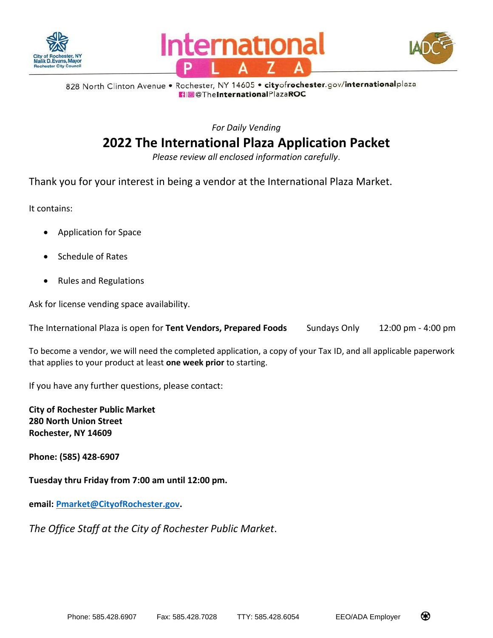





828 North Clinton Avenue . Rochester, NY 14605 . cityofrochester.gov/internationalplaza **R** @ The International PlazaROC

*For Daily Vending*

# **2022 The International Plaza Application Packet**

*Please review all enclosed information carefully*.

Thank you for your interest in being a vendor at the International Plaza Market.

It contains:

- Application for Space
- Schedule of Rates
- Rules and Regulations

Ask for license vending space availability.

The International Plaza is open for **Tent Vendors, Prepared Foods** Sundays Only 12:00 pm - 4:00 pm

To become a vendor, we will need the completed application, a copy of your Tax ID, and all applicable paperwork that applies to your product at least **one week prior** to starting.

If you have any further questions, please contact:

**City of Rochester Public Market 280 North Union Street Rochester, NY 14609** 

**Phone: (585) 428-6907**

**Tuesday thru Friday from 7:00 am until 12:00 pm.**

**email: [Pmarket@CityofRochester.gov.](mailto:Pmarket@CityofRochester.gov)**

*The Office Staff at the City of Rochester Public Market*.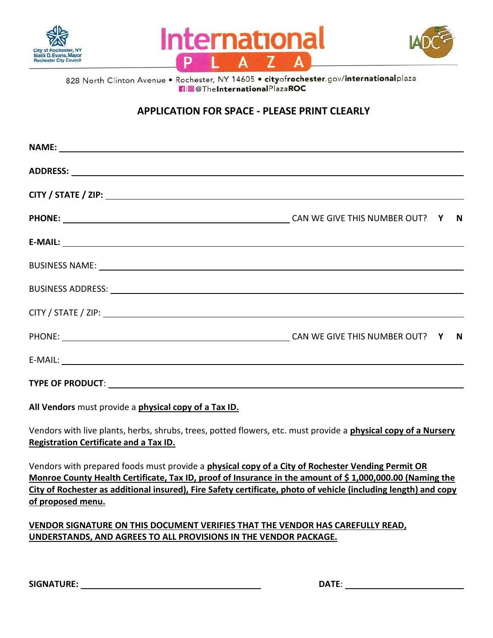





828 North Clinton Avenue . Rochester, NY 14605 . cityofrochester.gov/internationalplaza **n** @TheInternationalPlazaROC

### **APPLICATION FOR SPACE - PLEASE PRINT CLEARLY**

| NAME: NAME:                                                                                                                                                                                                                    |  |
|--------------------------------------------------------------------------------------------------------------------------------------------------------------------------------------------------------------------------------|--|
|                                                                                                                                                                                                                                |  |
|                                                                                                                                                                                                                                |  |
|                                                                                                                                                                                                                                |  |
| $E-MAIL:$                                                                                                                                                                                                                      |  |
|                                                                                                                                                                                                                                |  |
| BUSINESS ADDRESS: University of the contract of the contract of the contract of the contract of the contract of the contract of the contract of the contract of the contract of the contract of the contract of the contract o |  |
|                                                                                                                                                                                                                                |  |
|                                                                                                                                                                                                                                |  |
|                                                                                                                                                                                                                                |  |
|                                                                                                                                                                                                                                |  |

**All Vendors** must provide a **physical copy of a Tax ID.**

Vendors with live plants, herbs, shrubs, trees, potted flowers, etc. must provide a **physical copy of a Nursery Registration Certificate and a Tax ID.**

Vendors with prepared foods must provide a **physical copy of a City of Rochester Vending Permit OR Monroe County Health Certificate, Tax ID, proof of Insurance in the amount of \$ 1,000,000.00 (Naming the City of Rochester as additional insured), Fire Safety certificate, photo of vehicle (including length) and copy of proposed menu.**

### **VENDOR SIGNATURE ON THIS DOCUMENT VERIFIES THAT THE VENDOR HAS CAREFULLY READ, UNDERSTANDS, AND AGREES TO ALL PROVISIONS IN THE VENDOR PACKAGE.**

**SIGNATURE: DATE**: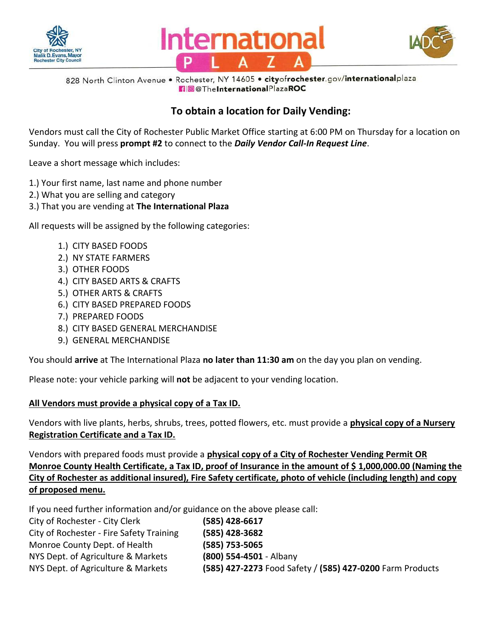





828 North Clinton Avenue . Rochester, NY 14605 . cityofrochester.gov/internationalplaza **n** @ The InternationalPlazaROC

## **To obtain a location for Daily Vending:**

Vendors must call the City of Rochester Public Market Office starting at 6:00 PM on Thursday for a location on Sunday. You will press **prompt #2** to connect to the *Daily Vendor Call-In Request Line*.

Leave a short message which includes:

- 1.) Your first name, last name and phone number
- 2.) What you are selling and category
- 3.) That you are vending at **The International Plaza**

All requests will be assigned by the following categories:

- 1.) CITY BASED FOODS
- 2.) NY STATE FARMERS
- 3.) OTHER FOODS
- 4.) CITY BASED ARTS & CRAFTS
- 5.) OTHER ARTS & CRAFTS
- 6.) CITY BASED PREPARED FOODS
- 7.) PREPARED FOODS
- 8.) CITY BASED GENERAL MERCHANDISE
- 9.) GENERAL MERCHANDISE

You should **arrive** at The International Plaza **no later than 11:30 am** on the day you plan on vending.

Please note: your vehicle parking will **not** be adjacent to your vending location.

### **All Vendors must provide a physical copy of a Tax ID.**

Vendors with live plants, herbs, shrubs, trees, potted flowers, etc. must provide a **physical copy of a Nursery Registration Certificate and a Tax ID.**

Vendors with prepared foods must provide a **physical copy of a City of Rochester Vending Permit OR Monroe County Health Certificate, a Tax ID, proof of Insurance in the amount of \$ 1,000,000.00 (Naming the City of Rochester as additional insured), Fire Safety certificate, photo of vehicle (including length) and copy of proposed menu.**

If you need further information and/or guidance on the above please call:

| City of Rochester - City Clerk           | (585) 428-6617                                            |
|------------------------------------------|-----------------------------------------------------------|
| City of Rochester - Fire Safety Training | (585) 428-3682                                            |
| Monroe County Dept. of Health            | (585) 753-5065                                            |
| NYS Dept. of Agriculture & Markets       | (800) 554-4501 - Albany                                   |
| NYS Dept. of Agriculture & Markets       | (585) 427-2273 Food Safety / (585) 427-0200 Farm Products |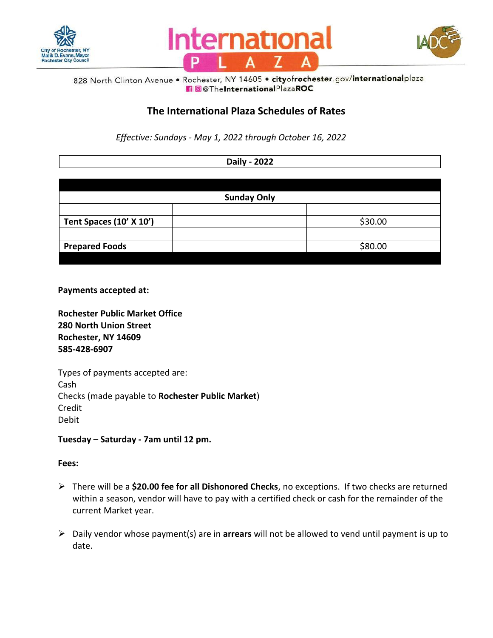





#### 828 North Clinton Avenue . Rochester, NY 14605 . cityofrochester.gov/internationalplaza **n** @TheInternationalPlazaROC

### **The International Plaza Schedules of Rates**

*Effective: Sundays - May 1, 2022 through October 16, 2022*

**Daily - 2022**

| <b>Sunday Only</b> |  |  |  |
|--------------------|--|--|--|
| \$30.00            |  |  |  |
|                    |  |  |  |
| \$80.00            |  |  |  |
|                    |  |  |  |

**Payments accepted at:** 

**Rochester Public Market Office 280 North Union Street Rochester, NY 14609 585-428-6907**

Types of payments accepted are: Cash Checks (made payable to **Rochester Public Market**) Credit Debit

**Tuesday – Saturday - 7am until 12 pm.**

#### **Fees:**

- There will be a **\$20.00 fee for all Dishonored Checks**, no exceptions. If two checks are returned within a season, vendor will have to pay with a certified check or cash for the remainder of the current Market year.
- Daily vendor whose payment(s) are in **arrears** will not be allowed to vend until payment is up to date.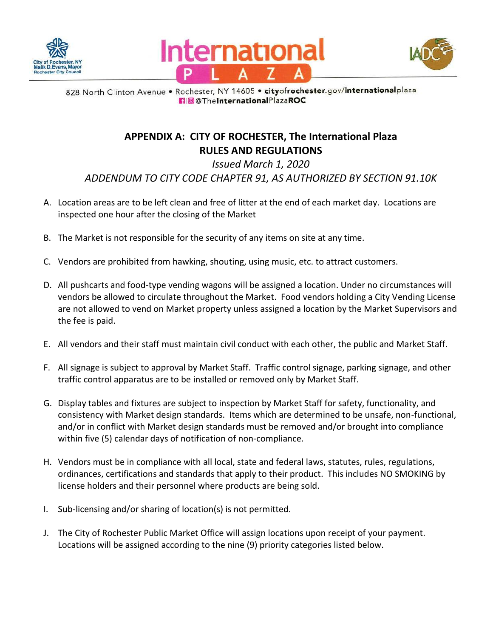





828 North Clinton Avenue . Rochester, NY 14605 . cityofrochester.gov/internationalplaza **10**@TheInternationalPlazaROC

## **APPENDIX A: CITY OF ROCHESTER, The International Plaza RULES AND REGULATIONS**

*Issued March 1, 2020 ADDENDUM TO CITY CODE CHAPTER 91, AS AUTHORIZED BY SECTION 91.10K*

- A. Location areas are to be left clean and free of litter at the end of each market day. Locations are inspected one hour after the closing of the Market
- B. The Market is not responsible for the security of any items on site at any time.
- C. Vendors are prohibited from hawking, shouting, using music, etc. to attract customers.
- D. All pushcarts and food-type vending wagons will be assigned a location. Under no circumstances will vendors be allowed to circulate throughout the Market. Food vendors holding a City Vending License are not allowed to vend on Market property unless assigned a location by the Market Supervisors and the fee is paid.
- E. All vendors and their staff must maintain civil conduct with each other, the public and Market Staff.
- F. All signage is subject to approval by Market Staff. Traffic control signage, parking signage, and other traffic control apparatus are to be installed or removed only by Market Staff.
- G. Display tables and fixtures are subject to inspection by Market Staff for safety, functionality, and consistency with Market design standards. Items which are determined to be unsafe, non-functional, and/or in conflict with Market design standards must be removed and/or brought into compliance within five (5) calendar days of notification of non-compliance.
- H. Vendors must be in compliance with all local, state and federal laws, statutes, rules, regulations, ordinances, certifications and standards that apply to their product. This includes NO SMOKING by license holders and their personnel where products are being sold.
- I. Sub-licensing and/or sharing of location(s) is not permitted*.*
- J. The City of Rochester Public Market Office will assign locations upon receipt of your payment. Locations will be assigned according to the nine (9) priority categories listed below.